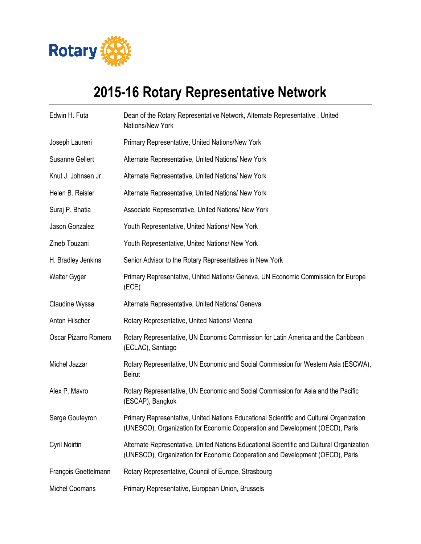

## **2015-16 Rotary Representative Network**

| Edwin H. Futa          | Dean of the Rotary Representative Network, Alternate Representative, United<br>Nations/New York                                                                            |
|------------------------|----------------------------------------------------------------------------------------------------------------------------------------------------------------------------|
| Joseph Laureni         | Primary Representative, United Nations/New York                                                                                                                            |
| <b>Susanne Gellert</b> | Alternate Representative, United Nations/ New York                                                                                                                         |
| Knut J. Johnsen Jr     | Alternate Representative, United Nations/ New York                                                                                                                         |
| Helen B. Reisler       | Alternate Representative, United Nations/ New York                                                                                                                         |
| Suraj P. Bhatia        | Associate Representative, United Nations/ New York                                                                                                                         |
| Jason Gonzalez         | Youth Representative, United Nations/ New York                                                                                                                             |
| Zineb Touzani          | Youth Representative, United Nations/ New York                                                                                                                             |
| H. Bradley Jenkins     | Senior Advisor to the Rotary Representatives in New York                                                                                                                   |
| <b>Walter Gyger</b>    | Primary Representative, United Nations/ Geneva, UN Economic Commission for Europe<br>(ECE)                                                                                 |
| Claudine Wyssa         | Alternate Representative, United Nations/ Geneva                                                                                                                           |
| Anton Hilscher         | Rotary Representative, United Nations/ Vienna                                                                                                                              |
| Oscar Pizarro Romero   | Rotary Representative, UN Economic Commission for Latin America and the Caribbean<br>(ECLAC), Santiago                                                                     |
| Michel Jazzar          | Rotary Representative, UN Economic and Social Commission for Western Asia (ESCWA),<br><b>Beirut</b>                                                                        |
| Alex P. Mavro          | Rotary Representative, UN Economic and Social Commission for Asia and the Pacific<br>(ESCAP), Bangkok                                                                      |
| Serge Gouteyron        | Primary Representative, United Nations Educational Scientific and Cultural Organization<br>(UNESCO), Organization for Economic Cooperation and Development (OECD), Paris   |
| Cyril Noirtin          | Alternate Representative, United Nations Educational Scientific and Cultural Organization<br>(UNESCO), Organization for Economic Cooperation and Development (OECD), Paris |
| François Goettelmann   | Rotary Representative, Council of Europe, Strasbourg                                                                                                                       |
| <b>Michel Coomans</b>  | Primary Representative, European Union, Brussels                                                                                                                           |